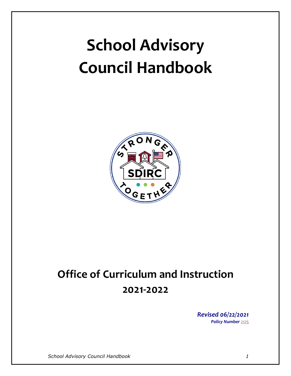# **School Advisory Council Handbook**



### **Office of Curriculum and Instruction 2021-2022**

*Revised 06/22/2021 Policy Number [2125](http://go.boarddocs.com/fl/ircs/Board.nsf/goto?open&id=APWMQY531570)*

*School Advisory Council Handbook 1*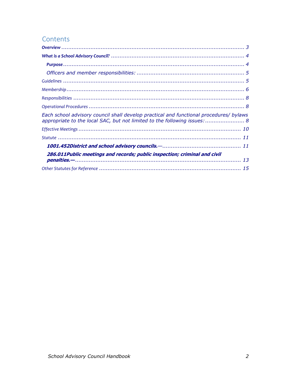### Contents

| Each school advisory council shall develop practical and functional procedures/ bylaws<br>appropriate to the local SAC, but not limited to the following issues:  8 |  |
|---------------------------------------------------------------------------------------------------------------------------------------------------------------------|--|
|                                                                                                                                                                     |  |
|                                                                                                                                                                     |  |
|                                                                                                                                                                     |  |
| 286.011Public meetings and records; public inspection; criminal and civil                                                                                           |  |
|                                                                                                                                                                     |  |
|                                                                                                                                                                     |  |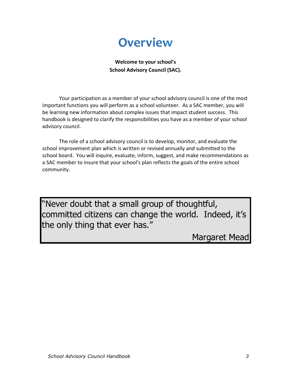

**Welcome to your school's School Advisory Council (SAC).**

<span id="page-2-0"></span>Your participation as a member of your school advisory council is one of the most important functions you will perform as a school volunteer. As a SAC member, you will be learning new information about complex issues that impact student success. This handbook is designed to clarify the responsibilities you have as a member of your school advisory council.

The role of a school advisory council is to develop, monitor, and evaluate the school improvement plan which is written or revised annually and submitted to the school board. You will inquire, evaluate, inform, suggest, and make recommendations as a SAC member to insure that your school's plan reflects the goals of the entire school community.

<span id="page-2-1"></span>"Never doubt that a small group of thoughtful, committed citizens can change the world. Indeed, it's the only thing that ever has."

Margaret Mead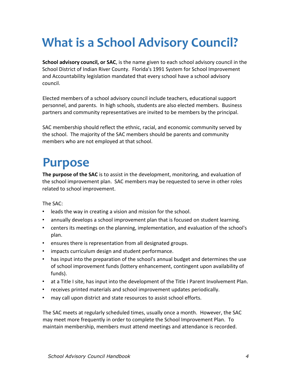# **What is a School Advisory Council?**

**School advisory council, or SAC**, is the name given to each school advisory council in the School District of Indian River County. Florida's 1991 System for School Improvement and Accountability legislation mandated that every school have a school advisory council.

Elected members of a school advisory council include teachers, educational support personnel, and parents. In high schools, students are also elected members. Business partners and community representatives are invited to be members by the principal.

SAC membership should reflect the ethnic, racial, and economic community served by the school. The majority of the SAC members should be parents and community members who are not employed at that school.

### <span id="page-3-0"></span>**Purpose**

**The purpose of the SAC** is to assist in the development, monitoring, and evaluation of the school improvement plan. SAC members may be requested to serve in other roles related to school improvement.

The SAC:

- leads the way in creating a vision and mission for the school.
- annually develops a school improvement plan that is focused on student learning.
- centers its meetings on the planning, implementation, and evaluation of the school's plan.
- ensures there is representation from all designated groups.
- impacts curriculum design and student performance.
- has input into the preparation of the school's annual budget and determines the use of school improvement funds (lottery enhancement, contingent upon availability of funds).
- at a Title I site, has input into the development of the Title I Parent Involvement Plan.
- receives printed materials and school improvement updates periodically.
- may call upon district and state resources to assist school efforts.

The SAC meets at regularly scheduled times, usually once a month. However, the SAC may meet more frequently in order to complete the School Improvement Plan. To maintain membership, members must attend meetings and attendance is recorded.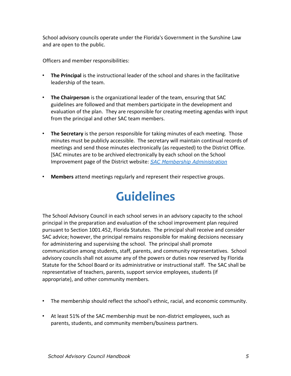School advisory councils operate under the Florida's Government in the Sunshine Law and are open to the public.

<span id="page-4-0"></span>Officers and member responsibilities:

- **The Principal** is the instructional leader of the school and shares in the facilitative leadership of the team.
- **The Chairperson** is the organizational leader of the team, ensuring that SAC guidelines are followed and that members participate in the development and evaluation of the plan. They are responsible for creating meeting agendas with input from the principal and other SAC team members.
- **The Secretary** is the person responsible for taking minutes of each meeting. Those minutes must be publicly accessible. The secretary will maintain continual records of meetings and send those minutes electronically (as requested) to the District Office. [SAC minutes are to be archived electronically by each school on the School Improvement page of the District website: *[SAC Membership Administration](https://www.indianriverschools.org/cms/One.aspx?portalId=1549525&pageId=2681649)*
- <span id="page-4-1"></span>• **Members** attend meetings regularly and represent their respective groups.

# **Guidelines**

The School Advisory Council in each school serves in an advisory capacity to the school principal in the preparation and evaluation of the school improvement plan required pursuant to Section 1001.452, Florida Statutes. The principal shall receive and consider SAC advice; however, the principal remains responsible for making decisions necessary for administering and supervising the school. The principal shall promote communication among students, staff, parents, and community representatives. School advisory councils shall not assume any of the powers or duties now reserved by Florida Statute for the School Board or its administrative or instructional staff. The SAC shall be representative of teachers, parents, support service employees, students (if appropriate), and other community members.

- The membership should reflect the school's ethnic, racial, and economic community.
- At least 51% of the SAC membership must be non-district employees, such as parents, students, and community members/business partners.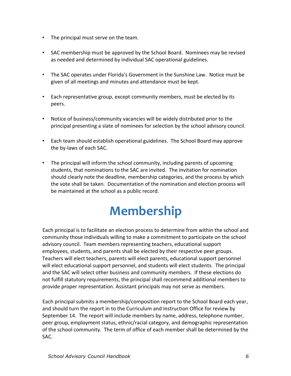- The principal must serve on the team.
- SAC membership must be approved by the School Board. Nominees may be revised as needed and determined by individual SAC operational guidelines.
- The SAC operates under Florida's Government in the Sunshine Law. Notice must be given of all meetings and minutes and attendance must be kept.
- Each representative group, except community members, must be elected by its peers.
- Notice of business/community vacancies will be widely distributed prior to the principal presenting a slate of nominees for selection by the school advisory council.
- Each team should establish operational guidelines. The School Board may approve the by-laws of each SAC.
- The principal will inform the school community, including parents of upcoming students, that nominations to the SAC are invited. The invitation for nomination should clearly note the deadline, membership categories, and the process by which the vote shall be taken. Documentation of the nomination and election process will be maintained at the school as a public record.

# **Membership**

<span id="page-5-0"></span>Each principal is to facilitate an election process to determine from within the school and community those individuals willing to make a commitment to participate on the school advisory council. Team members representing teachers, educational support employees, students, and parents shall be elected by their respective peer groups. Teachers will elect teachers, parents will elect parents, educational support personnel will elect educational support personnel, and students will elect students. The principal and the SAC will select other business and community members. If these elections do not fulfill statutory requirements, the principal shall recommend additional members to provide proper representation. Assistant principals may not serve as members.

Each principal submits a membership/composition report to the School Board each year, and should turn the report in to the Curriculum and Instruction Office for review by September 14. The report will include members by name, address, telephone number, peer group, employment status, ethnic/racial category, and demographic representation of the school community. The term of office of each member shall be determined by the SAC.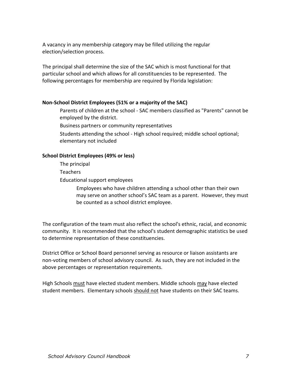A vacancy in any membership category may be filled utilizing the regular election/selection process.

The principal shall determine the size of the SAC which is most functional for that particular school and which allows for all constituencies to be represented. The following percentages for membership are required by Florida legislation:

### **Non-School District Employees (51% or a majority of the SAC)**

Parents of children at the school - SAC members classified as "Parents" cannot be employed by the district.

Business partners or community representatives

Students attending the school - High school required; middle school optional; elementary not included

#### **School District Employees (49% or less)**

- The principal
- Teachers

Educational support employees

Employees who have children attending a school other than their own may serve on another school's SAC team as a parent. However, they must be counted as a school district employee.

The configuration of the team must also reflect the school's ethnic, racial, and economic community. It is recommended that the school's student demographic statistics be used to determine representation of these constituencies.

District Office or School Board personnel serving as resource or liaison assistants are non-voting members of school advisory council. As such, they are not included in the above percentages or representation requirements.

High Schools must have elected student members. Middle schools may have elected student members. Elementary schools should not have students on their SAC teams.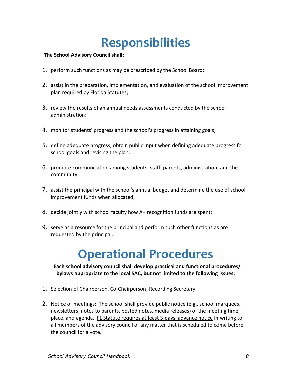# **Responsibilities**

<span id="page-7-0"></span>**The School Advisory Council shall:** 

- 1. perform such functions as may be prescribed by the School Board;
- 2. assist in the preparation, implementation, and evaluation of the school improvement plan required by Florida Statutes;
- 3. review the results of an annual needs assessments conducted by the school administration;
- 4. monitor students' progress and the school's progress in attaining goals;
- 5. define adequate progress; obtain public input when defining adequate progress for school goals and revising the plan;
- 6. promote communication among students, staff, parents, administration, and the community;
- 7. assist the principal with the school's annual budget and determine the use of school improvement funds when allocated;
- 8. decide jointly with school faculty how A+ recognition funds are spent;
- <span id="page-7-1"></span>9. serve as a resource for the principal and perform such other functions as are requested by the principal.

### **Operational Procedures**

<span id="page-7-2"></span>**Each school advisory council shall develop practical and functional procedures/ bylaws appropriate to the local SAC, but not limited to the following issues:** 

- 1. Selection of Chairperson, Co-Chairperson, Recording Secretary
- 2. Notice of meetings: The school shall provide public notice (e.g., school marquees, newsletters, notes to parents, posted notes, media releases) of the meeting time, place, and agenda. FL Statute requires at least 3-days' advance notice in writing to all members of the advisory council of any matter that is scheduled to come before the council for a vote.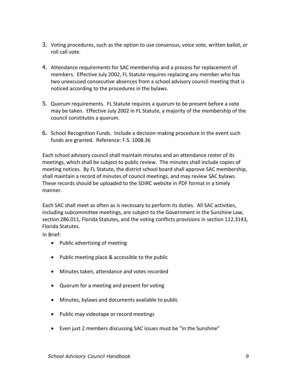- 3. Voting procedures, such as the option to use consensus, voice vote, written ballot, or roll call vote.
- 4. Attendance requirements for SAC membership and a process for replacement of members. Effective July 2002, FL Statute requires replacing any member who has two unexcused consecutive absences from a school advisory council meeting that is noticed according to the procedures in the bylaws.
- 5. Quorum requirements. FL Statute requires a quorum to be present before a vote may be taken. Effective July 2002 in FL Statute, a majority of the membership of the council constitutes a quorum.
- 6. School Recognition Funds. Include a decision-making procedure in the event such funds are granted. Reference: F.S. 1008.36

Each school advisory council shall maintain minutes and an attendance roster of its meetings, which shall be subject to public review. The minutes shall include copies of meeting notices. By FL Statute, the district school board shall approve SAC membership, shall maintain a record of minutes of council meetings, and may review SAC bylaws. These records should be uploaded to the SDIRC website in PDF format in a timely manner.

Each SAC shall meet as often as is necessary to perform its duties. All SAC activities, including subcommittee meetings, are subject to the Government in the Sunshine Law, section 286.011, Florida Statutes, and the voting conflicts provisions in section 112.3143, Florida Statutes.

In Brief:

- Public advertising of meeting
- Public meeting place & accessible to the public
- Minutes taken, attendance and votes recorded
- Quorum for a meeting and present for voting
- Minutes, bylaws and documents available to public
- Public may videotape or record meetings
- Even just 2 members discussing SAC issues must be "in the Sunshine"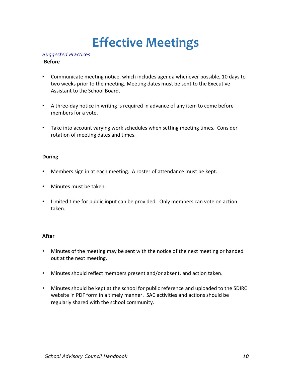# **Effective Meetings**

#### <span id="page-9-0"></span>*Suggested Practices*

#### **Before**

- Communicate meeting notice, which includes agenda whenever possible, 10 days to two weeks prior to the meeting. Meeting dates must be sent to the Executive Assistant to the School Board.
- A three-day notice in writing is required in advance of any item to come before members for a vote.
- Take into account varying work schedules when setting meeting times. Consider rotation of meeting dates and times.

### **During**

- Members sign in at each meeting. A roster of attendance must be kept.
- Minutes must be taken.
- Limited time for public input can be provided. Only members can vote on action taken.

### **After**

- Minutes of the meeting may be sent with the notice of the next meeting or handed out at the next meeting.
- Minutes should reflect members present and/or absent, and action taken.
- Minutes should be kept at the school for public reference and uploaded to the SDIRC website in PDF form in a timely manner. SAC activities and actions should be regularly shared with the school community.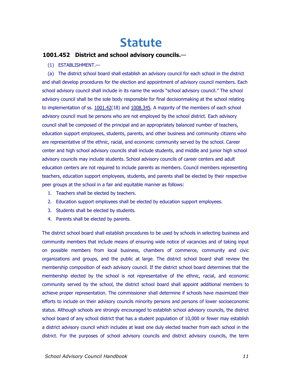### **Statute**

### <span id="page-10-1"></span><span id="page-10-0"></span>**1001.452 District and school advisory councils.**—

(1) ESTABLISHMENT.—

(a) The district school board shall establish an advisory council for each school in the district and shall develop procedures for the election and appointment of advisory council members. Each school advisory council shall include in its name the words "school advisory council." The school advisory council shall be the sole body responsible for final decisionmaking at the school relating to implementation of ss.  $\underline{1001.42}$ (18) and  $\underline{1008.345}$ . A majority of the members of each school advisory council must be persons who are not employed by the school district. Each advisory council shall be composed of the principal and an appropriately balanced number of teachers, education support employees, students, parents, and other business and community citizens who are representative of the ethnic, racial, and economic community served by the school. Career center and high school advisory councils shall include students, and middle and junior high school advisory councils may include students. School advisory councils of career centers and adult education centers are not required to include parents as members. Council members representing teachers, education support employees, students, and parents shall be elected by their respective peer groups at the school in a fair and equitable manner as follows:

- 1. Teachers shall be elected by teachers.
- 2. Education support employees shall be elected by education support employees.
- 3. Students shall be elected by students.
- 4. Parents shall be elected by parents.

The district school board shall establish procedures to be used by schools in selecting business and community members that include means of ensuring wide notice of vacancies and of taking input on possible members from local business, chambers of commerce, community and civic organizations and groups, and the public at large. The district school board shall review the membership composition of each advisory council. If the district school board determines that the membership elected by the school is not representative of the ethnic, racial, and economic community served by the school, the district school board shall appoint additional members to achieve proper representation. The commissioner shall determine if schools have maximized their efforts to include on their advisory councils minority persons and persons of lower socioeconomic status. Although schools are strongly encouraged to establish school advisory councils, the district school board of any school district that has a student population of 10,000 or fewer may establish a district advisory council which includes at least one duly elected teacher from each school in the district. For the purposes of school advisory councils and district advisory councils, the term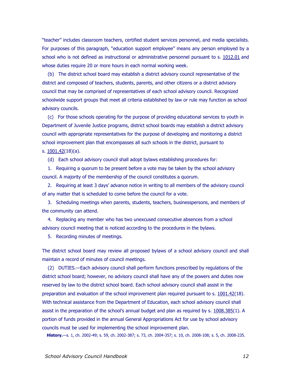"teacher" includes classroom teachers, certified student services personnel, and media specialists. For purposes of this paragraph, "education support employee" means any person employed by a school who is not defined as instructional or administrative personnel pursuant to s. [1012.01](http://www.leg.state.fl.us/statutes/index.cfm?App_mode=Display_Statute&Search_String=1001.452&URL=1000-1099/1012/Sections/1012.01.html) and whose duties require 20 or more hours in each normal working week.

(b) The district school board may establish a district advisory council representative of the district and composed of teachers, students, parents, and other citizens or a district advisory council that may be comprised of representatives of each school advisory council. Recognized schoolwide support groups that meet all criteria established by law or rule may function as school advisory councils.

(c) For those schools operating for the purpose of providing educational services to youth in Department of Juvenile Justice programs, district school boards may establish a district advisory council with appropriate representatives for the purpose of developing and monitoring a district school improvement plan that encompasses all such schools in the district, pursuant to s. [1001.42\(](http://www.leg.state.fl.us/statutes/index.cfm?App_mode=Display_Statute&Search_String=1001.452&URL=1000-1099/1001/Sections/1001.42.html)18)(a).

(d) Each school advisory council shall adopt bylaws establishing procedures for:

1. Requiring a quorum to be present before a vote may be taken by the school advisory council. A majority of the membership of the council constitutes a quorum.

2. Requiring at least 3 days' advance notice in writing to all members of the advisory council of any matter that is scheduled to come before the council for a vote.

3. Scheduling meetings when parents, students, teachers, businesspersons, and members of the community can attend.

4. Replacing any member who has two unexcused consecutive absences from a school advisory council meeting that is noticed according to the procedures in the bylaws.

5. Recording minutes of meetings.

The district school board may review all proposed bylaws of a school advisory council and shall maintain a record of minutes of council meetings.

(2) DUTIES.—Each advisory council shall perform functions prescribed by regulations of the district school board; however, no advisory council shall have any of the powers and duties now reserved by law to the district school board. Each school advisory council shall assist in the preparation and evaluation of the school improvement plan required pursuant to s. [1001.42\(](http://www.leg.state.fl.us/statutes/index.cfm?App_mode=Display_Statute&Search_String=1001.452&URL=1000-1099/1001/Sections/1001.42.html)18). With technical assistance from the Department of Education, each school advisory council shall assist in the preparation of the school's annual budget and plan as required by s. [1008.385\(](http://www.leg.state.fl.us/statutes/index.cfm?App_mode=Display_Statute&Search_String=1001.452&URL=1000-1099/1008/Sections/1008.385.html)1). A portion of funds provided in the annual General Appropriations Act for use by school advisory councils must be used for implementing the school improvement plan.

**History.**—s. 1, ch. 2002-49; s. 59, ch. 2002-387; s. 73, ch. 2004-357; s. 10, ch. 2008-108; s. 5, ch. 2008-235.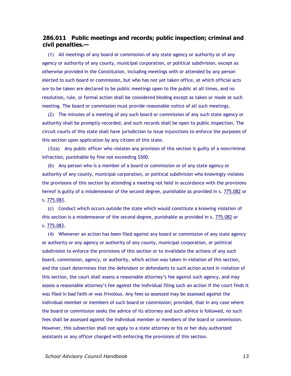### <span id="page-12-0"></span>**286.011 Public meetings and records; public inspection; criminal and civil penalties.—**

(1) All meetings of any board or commission of any state agency or authority or of any agency or authority of any county, municipal corporation, or political subdivision, except as otherwise provided in the Constitution, including meetings with or attended by any person elected to such board or commission, but who has not yet taken office, at which official acts are to be taken are declared to be public meetings open to the public at all times, and no resolution, rule, or formal action shall be considered binding except as taken or made at such meeting. The board or commission must provide reasonable notice of all such meetings.

(2) The minutes of a meeting of any such board or commission of any such state agency or authority shall be promptly recorded, and such records shall be open to public inspection. The circuit courts of this state shall have jurisdiction to issue injunctions to enforce the purposes of this section upon application by any citizen of this state.

(3)(a) Any public officer who violates any provision of this section is guilty of a noncriminal infraction, punishable by fine not exceeding \$500.

(b) Any person who is a member of a board or commission or of any state agency or authority of any county, municipal corporation, or political subdivision who knowingly violates the provisions of this section by attending a meeting not held in accordance with the provisions hereof is guilty of a misdemeanor of the second degree, punishable as provided in s. [775.082](http://www.leg.state.fl.us/Statutes/index.cfm?App_mode=Display_Statute&Search_String=&URL=0700-0799/0775/Sections/0775.082.html) or s. [775.083.](http://www.leg.state.fl.us/Statutes/index.cfm?App_mode=Display_Statute&Search_String=&URL=0700-0799/0775/Sections/0775.083.html)

(c) Conduct which occurs outside the state which would constitute a knowing violation of this section is a misdemeanor of the second degree, punishable as provided in s. [775.082](http://www.leg.state.fl.us/Statutes/index.cfm?App_mode=Display_Statute&Search_String=&URL=0700-0799/0775/Sections/0775.082.html) or s. [775.083.](http://www.leg.state.fl.us/Statutes/index.cfm?App_mode=Display_Statute&Search_String=&URL=0700-0799/0775/Sections/0775.083.html)

(4) Whenever an action has been filed against any board or commission of any state agency or authority or any agency or authority of any county, municipal corporation, or political subdivision to enforce the provisions of this section or to invalidate the actions of any such board, commission, agency, or authority, which action was taken in violation of this section, and the court determines that the defendant or defendants to such action acted in violation of this section, the court shall assess a reasonable attorney's fee against such agency, and may assess a reasonable attorney's fee against the individual filing such an action if the court finds it was filed in bad faith or was frivolous. Any fees so assessed may be assessed against the individual member or members of such board or commission; provided, that in any case where the board or commission seeks the advice of its attorney and such advice is followed, no such fees shall be assessed against the individual member or members of the board or commission. However, this subsection shall not apply to a state attorney or his or her duly authorized assistants or any officer charged with enforcing the provisions of this section.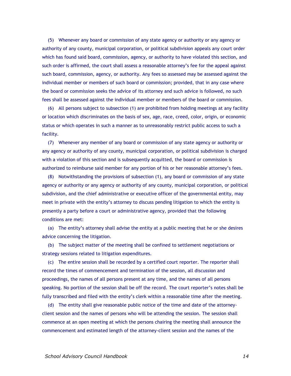(5) Whenever any board or commission of any state agency or authority or any agency or authority of any county, municipal corporation, or political subdivision appeals any court order which has found said board, commission, agency, or authority to have violated this section, and such order is affirmed, the court shall assess a reasonable attorney's fee for the appeal against such board, commission, agency, or authority. Any fees so assessed may be assessed against the individual member or members of such board or commission; provided, that in any case where the board or commission seeks the advice of its attorney and such advice is followed, no such fees shall be assessed against the individual member or members of the board or commission.

(6) All persons subject to subsection (1) are prohibited from holding meetings at any facility or location which discriminates on the basis of sex, age, race, creed, color, origin, or economic status or which operates in such a manner as to unreasonably restrict public access to such a facility.

(7) Whenever any member of any board or commission of any state agency or authority or any agency or authority of any county, municipal corporation, or political subdivision is charged with a violation of this section and is subsequently acquitted, the board or commission is authorized to reimburse said member for any portion of his or her reasonable attorney's fees.

(8) Notwithstanding the provisions of subsection (1), any board or commission of any state agency or authority or any agency or authority of any county, municipal corporation, or political subdivision, and the chief administrative or executive officer of the governmental entity, may meet in private with the entity's attorney to discuss pending litigation to which the entity is presently a party before a court or administrative agency, provided that the following conditions are met:

(a) The entity's attorney shall advise the entity at a public meeting that he or she desires advice concerning the litigation.

(b) The subject matter of the meeting shall be confined to settlement negotiations or strategy sessions related to litigation expenditures.

(c) The entire session shall be recorded by a certified court reporter. The reporter shall record the times of commencement and termination of the session, all discussion and proceedings, the names of all persons present at any time, and the names of all persons speaking. No portion of the session shall be off the record. The court reporter's notes shall be fully transcribed and filed with the entity's clerk within a reasonable time after the meeting.

(d) The entity shall give reasonable public notice of the time and date of the attorneyclient session and the names of persons who will be attending the session. The session shall commence at an open meeting at which the persons chairing the meeting shall announce the commencement and estimated length of the attorney-client session and the names of the